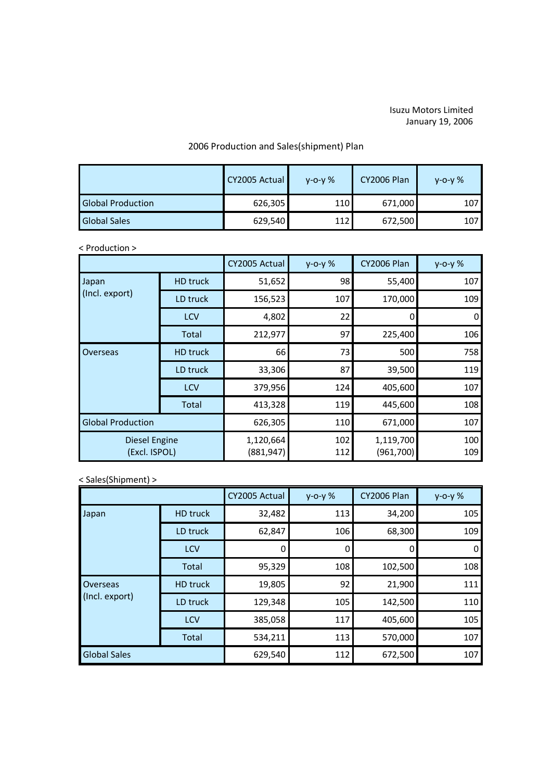## Isuzu Motors Limited January 19, 2006

## 2006 Production and Sales(shipment) Plan

|                          | CY2005 Actual | $V - O - V$ % | <b>CY2006 Plan</b> | $V - O - V$ % |
|--------------------------|---------------|---------------|--------------------|---------------|
| <b>Global Production</b> | 626,305       | 110           | 671,000            | 107           |
| <b>Global Sales</b>      | 629,540       | 112           | 672,500            | 107           |

## < Production >

|                                       |                 | CY2005 Actual           | $y - 0 - y$ % | <b>CY2006 Plan</b>      | $y - 0 - y$ % |
|---------------------------------------|-----------------|-------------------------|---------------|-------------------------|---------------|
| Japan<br>(Incl. export)               | <b>HD</b> truck | 51,652                  | 98            | 55,400                  | 107           |
|                                       | LD truck        | 156,523                 | 107           | 170,000                 | 109           |
|                                       | <b>LCV</b>      | 4,802                   | 22            | 0                       | 0             |
|                                       | Total           | 212,977                 | 97            | 225,400                 | 106           |
| Overseas                              | HD truck        | 66                      | 73            | 500                     | 758           |
|                                       | LD truck        | 33,306                  | 87            | 39,500                  | 119           |
|                                       | LCV             | 379,956                 | 124           | 405,600                 | 107           |
|                                       | <b>Total</b>    | 413,328                 | 119           | 445,600                 | 108           |
| <b>Global Production</b>              |                 | 626,305                 | 110           | 671,000                 | 107           |
| <b>Diesel Engine</b><br>(Excl. ISPOL) |                 | 1,120,664<br>(881, 947) | 102<br>112    | 1,119,700<br>(961, 700) | 100<br>109    |

## < Sales(Shipment) >

|                            |                 | CY2005 Actual | $y - 0 - y$ % | <b>CY2006 Plan</b> | $y - 0 - y$ % |
|----------------------------|-----------------|---------------|---------------|--------------------|---------------|
| Japan                      | <b>HD</b> truck | 32,482        | 113           | 34,200             | 105           |
|                            | LD truck        | 62,847        | 106           | 68,300             | 109           |
|                            | LCV             |               | 0             |                    | $\Omega$      |
|                            | Total           | 95,329        | 108           | 102,500            | 108           |
| Overseas<br>(Incl. export) | <b>HD</b> truck | 19,805        | 92            | 21,900             | 111           |
|                            | LD truck        | 129,348       | 105           | 142,500            | 110           |
|                            | LCV             | 385,058       | 117           | 405,600            | 105           |
|                            | Total           | 534,211       | 113           | 570,000            | 107           |
| <b>Global Sales</b>        |                 | 629,540       | 112           | 672,500            | 107           |